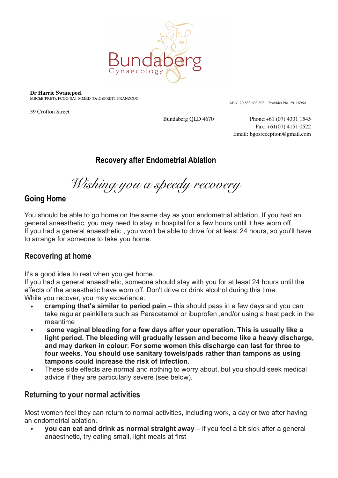

**Dr Harrie Swanepoel**

MBChB(PRET), FCOG(SA), MMED (OetG)(PRET), FRANZCOG

39 Crofton Street

ABN: 20 883 693 898 Provider No. 2911696A

Bundaberg QLD 4670 Phone:+61 (07) 4331 1545 Fax: +61(07) 4151 0522 Email: bgosreception@gmail.com

## **Recovery after Endometrial Ablation**

*Wishing you a speedy recovery* 

## **Going Home**

You should be able to go home on the same day as your endometrial ablation. If you had an general anaesthetic, you may need to stay in hospital for a few hours until it has worn off. If you had a general anaesthetic , you won't be able to drive for at least 24 hours, so you'll have to arrange for someone to take you home.

## **Recovering at home**

It's a good idea to rest when you get home.

If you had a general anaesthetic, someone should stay with you for at least 24 hours until the effects of the anaesthetic have worn off. Don't drive or drink alcohol during this time. While you recover, you may experience:

- **• cramping that's similar to period pain** this should pass in a few days and you can take regular painkillers such as Paracetamol or ibuprofen ,and/or using a heat pack in the meantime
- **• some vaginal bleeding for a few days after your operation. This is usually like a light period. The bleeding will gradually lessen and become like a heavy discharge, and may darken in colour. For some women this discharge can last for three to four weeks. You should use sanitary towels/pads rather than tampons as using tampons could increase the risk of infection.**
- **•** These side effects are normal and nothing to worry about, but you should seek medical advice if they are particularly severe (see below).

# **Returning to your normal activities**

Most women feel they can return to normal activities, including work, a day or two after having an endometrial ablation.

**• you can eat and drink as normal straight away** – if you feel a bit sick after a general anaesthetic, try eating small, light meals at first